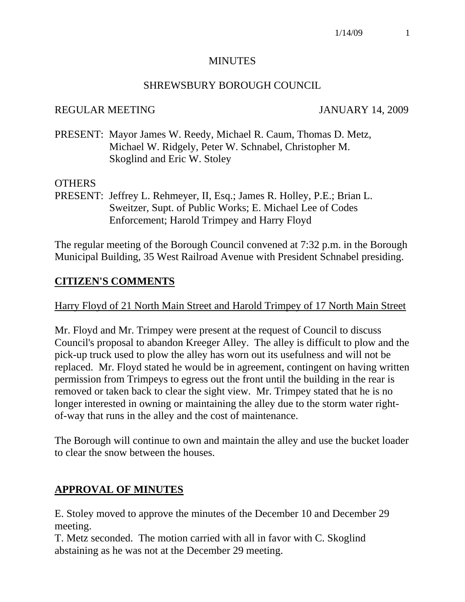### **MINUTES**

#### SHREWSBURY BOROUGH COUNCIL

#### REGULAR MEETING JANUARY 14, 2009

PRESENT: Mayor James W. Reedy, Michael R. Caum, Thomas D. Metz, Michael W. Ridgely, Peter W. Schnabel, Christopher M. Skoglind and Eric W. Stoley

### OTHERS

PRESENT: Jeffrey L. Rehmeyer, II, Esq.; James R. Holley, P.E.; Brian L. Sweitzer, Supt. of Public Works; E. Michael Lee of Codes Enforcement; Harold Trimpey and Harry Floyd

The regular meeting of the Borough Council convened at 7:32 p.m. in the Borough Municipal Building, 35 West Railroad Avenue with President Schnabel presiding.

### **CITIZEN'S COMMENTS**

Harry Floyd of 21 North Main Street and Harold Trimpey of 17 North Main Street

Mr. Floyd and Mr. Trimpey were present at the request of Council to discuss Council's proposal to abandon Kreeger Alley. The alley is difficult to plow and the pick-up truck used to plow the alley has worn out its usefulness and will not be replaced. Mr. Floyd stated he would be in agreement, contingent on having written permission from Trimpeys to egress out the front until the building in the rear is removed or taken back to clear the sight view. Mr. Trimpey stated that he is no longer interested in owning or maintaining the alley due to the storm water rightof-way that runs in the alley and the cost of maintenance.

The Borough will continue to own and maintain the alley and use the bucket loader to clear the snow between the houses.

# **APPROVAL OF MINUTES**

E. Stoley moved to approve the minutes of the December 10 and December 29 meeting.

T. Metz seconded. The motion carried with all in favor with C. Skoglind abstaining as he was not at the December 29 meeting.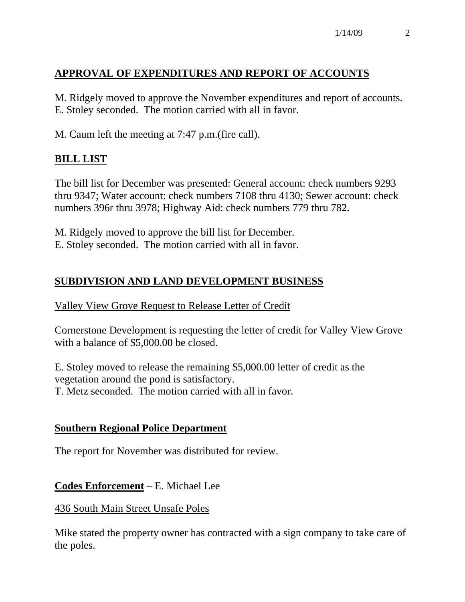# **APPROVAL OF EXPENDITURES AND REPORT OF ACCOUNTS**

M. Ridgely moved to approve the November expenditures and report of accounts. E. Stoley seconded. The motion carried with all in favor.

M. Caum left the meeting at 7:47 p.m.(fire call).

# **BILL LIST**

The bill list for December was presented: General account: check numbers 9293 thru 9347; Water account: check numbers 7108 thru 4130; Sewer account: check numbers 396r thru 3978; Highway Aid: check numbers 779 thru 782.

M. Ridgely moved to approve the bill list for December. E. Stoley seconded. The motion carried with all in favor.

# **SUBDIVISION AND LAND DEVELOPMENT BUSINESS**

# Valley View Grove Request to Release Letter of Credit

Cornerstone Development is requesting the letter of credit for Valley View Grove with a balance of \$5,000.00 be closed.

E. Stoley moved to release the remaining \$5,000.00 letter of credit as the vegetation around the pond is satisfactory. T. Metz seconded. The motion carried with all in favor.

# **Southern Regional Police Department**

The report for November was distributed for review.

**Codes Enforcement** – E. Michael Lee

436 South Main Street Unsafe Poles

Mike stated the property owner has contracted with a sign company to take care of the poles.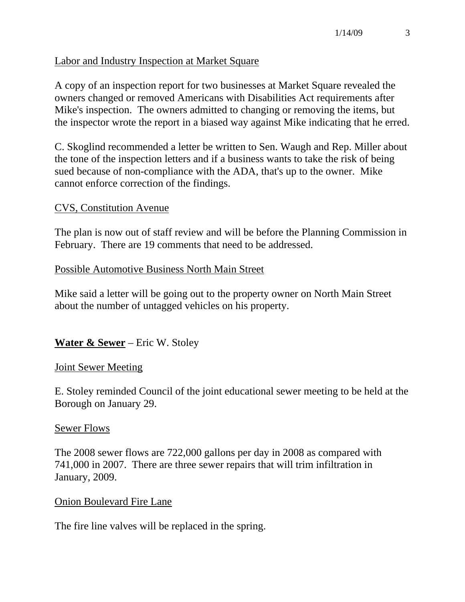## Labor and Industry Inspection at Market Square

A copy of an inspection report for two businesses at Market Square revealed the owners changed or removed Americans with Disabilities Act requirements after Mike's inspection. The owners admitted to changing or removing the items, but the inspector wrote the report in a biased way against Mike indicating that he erred.

C. Skoglind recommended a letter be written to Sen. Waugh and Rep. Miller about the tone of the inspection letters and if a business wants to take the risk of being sued because of non-compliance with the ADA, that's up to the owner. Mike cannot enforce correction of the findings.

#### CVS, Constitution Avenue

The plan is now out of staff review and will be before the Planning Commission in February. There are 19 comments that need to be addressed.

#### Possible Automotive Business North Main Street

Mike said a letter will be going out to the property owner on North Main Street about the number of untagged vehicles on his property.

### **Water & Sewer** – Eric W. Stoley

#### Joint Sewer Meeting

E. Stoley reminded Council of the joint educational sewer meeting to be held at the Borough on January 29.

#### Sewer Flows

The 2008 sewer flows are 722,000 gallons per day in 2008 as compared with 741,000 in 2007. There are three sewer repairs that will trim infiltration in January, 2009.

#### Onion Boulevard Fire Lane

The fire line valves will be replaced in the spring.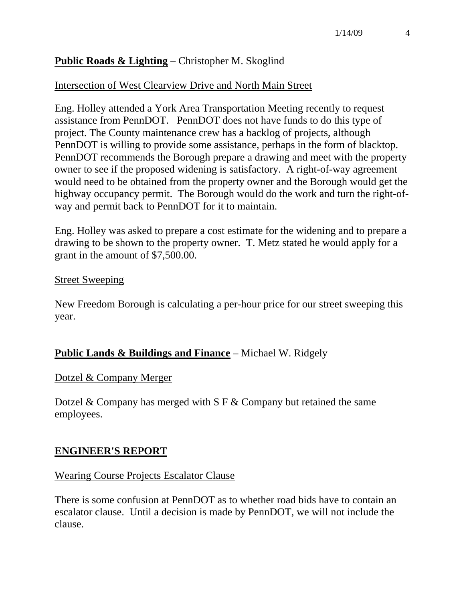# **Public Roads & Lighting** – Christopher M. Skoglind

# Intersection of West Clearview Drive and North Main Street

Eng. Holley attended a York Area Transportation Meeting recently to request assistance from PennDOT. PennDOT does not have funds to do this type of project. The County maintenance crew has a backlog of projects, although PennDOT is willing to provide some assistance, perhaps in the form of blacktop. PennDOT recommends the Borough prepare a drawing and meet with the property owner to see if the proposed widening is satisfactory. A right-of-way agreement would need to be obtained from the property owner and the Borough would get the highway occupancy permit. The Borough would do the work and turn the right-ofway and permit back to PennDOT for it to maintain.

Eng. Holley was asked to prepare a cost estimate for the widening and to prepare a drawing to be shown to the property owner. T. Metz stated he would apply for a grant in the amount of \$7,500.00.

## Street Sweeping

New Freedom Borough is calculating a per-hour price for our street sweeping this year.

# **Public Lands & Buildings and Finance** – Michael W. Ridgely

### Dotzel & Company Merger

Dotzel & Company has merged with S F & Company but retained the same employees.

# **ENGINEER'S REPORT**

# Wearing Course Projects Escalator Clause

There is some confusion at PennDOT as to whether road bids have to contain an escalator clause. Until a decision is made by PennDOT, we will not include the clause.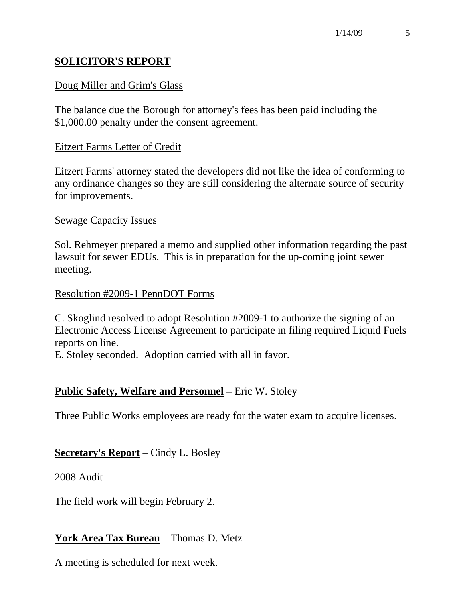# **SOLICITOR'S REPORT**

## Doug Miller and Grim's Glass

The balance due the Borough for attorney's fees has been paid including the \$1,000.00 penalty under the consent agreement.

### Eitzert Farms Letter of Credit

Eitzert Farms' attorney stated the developers did not like the idea of conforming to any ordinance changes so they are still considering the alternate source of security for improvements.

#### Sewage Capacity Issues

Sol. Rehmeyer prepared a memo and supplied other information regarding the past lawsuit for sewer EDUs. This is in preparation for the up-coming joint sewer meeting.

#### Resolution #2009-1 PennDOT Forms

C. Skoglind resolved to adopt Resolution #2009-1 to authorize the signing of an Electronic Access License Agreement to participate in filing required Liquid Fuels reports on line.

E. Stoley seconded. Adoption carried with all in favor.

### **Public Safety, Welfare and Personnel** – Eric W. Stoley

Three Public Works employees are ready for the water exam to acquire licenses.

### **Secretary's Report** – Cindy L. Bosley

#### 2008 Audit

The field work will begin February 2.

### **York Area Tax Bureau** – Thomas D. Metz

A meeting is scheduled for next week.